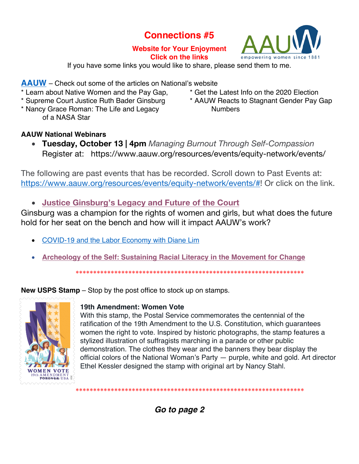# **Connections #5**

## **Website for Your Enjoyment Click on the links**



If you have some links you would like to share, please send them to me.

**AAUW** – Check out some of the articles on National's website

- \* Learn about Native Women and the Pay Gap,
- \* Supreme Court Justice Ruth Bader Ginsburg
- \* Nancy Grace Roman: The Life and Legacy of a NASA Star
- \* Get the Latest Info on the 2020 Election
- \* AAUW Reacts to Stagnant Gender Pay Gap **Numbers**

# **AAUW National Webinars**

• **Tuesday, October 13 | 4pm** *Managing Burnout Through Self-Compassion* Register at: https://www.aauw.org/resources/events/equity-network/events/

The following are past events that has be recorded. Scroll down to Past Events at: https://www.aauw.org/resources/events/equity-network/events/#! Or click on the link.

• **Justice Ginsburg's Legacy and Future of the Court**

Ginsburg was a champion for the rights of women and girls, but what does the future hold for her seat on the bench and how will it impact AAUW's work?

- COVID-19 and the Labor Economy with Diane Lim
- **Archeology of the Self: Sustaining Racial Literacy in the Movement for Change**

\*\*\*\*\*\*\*\*\*\*\*\*\*\*\*\*\*\*\*\*\*\*\*\*\*\*\*\*\*\*\*\*\*\*\*\*\*\*\*\*\*\*\*\*\*\*\*\*\*\*\*\*\*\*\*\*\*\*\*\*\*\*\*\*\*

**New USPS Stamp** – Stop by the post office to stock up on stamps.



# **19th Amendment: Women Vote**

With this stamp, the Postal Service commemorates the centennial of the ratification of the 19th Amendment to the U.S. Constitution, which guarantees women the right to vote. Inspired by historic photographs, the stamp features a stylized illustration of suffragists marching in a parade or other public demonstration. The clothes they wear and the banners they bear display the official colors of the National Woman's Party — purple, white and gold. Art director Ethel Kessler designed the stamp with original art by Nancy Stahl.

*Go to page 2*

\*\*\*\*\*\*\*\*\*\*\*\*\*\*\*\*\*\*\*\*\*\*\*\*\*\*\*\*\*\*\*\*\*\*\*\*\*\*\*\*\*\*\*\*\*\*\*\*\*\*\*\*\*\*\*\*\*\*\*\*\*\*\*\*\*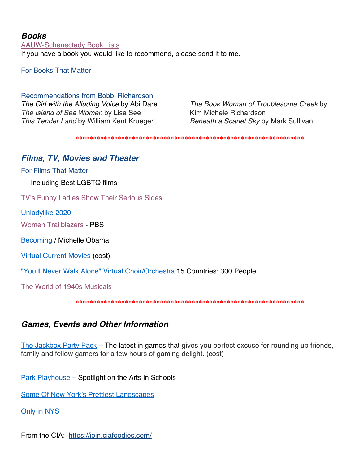# *Books*

AAUW-Schenectady Book Lists If you have a book you would like to recommend, please send it to me.

For Books That Matter

Recommendations from Bobbi Richardson *The Girl with the Alluding Voice* by Abi Dare *The Island of Sea Women* by Lisa See *This Tender Land* by William Kent Krueger

*The Book Woman of Troublesome Creek* by Kim Michele Richardson *Beneath a Scarlet Sky* by Mark Sullivan

\*\*\*\*\*\*\*\*\*\*\*\*\*\*\*\*\*\*\*\*\*\*\*\*\*\*\*\*\*\*\*\*\*\*\*\*\*\*\*\*\*\*\*\*\*\*\*\*\*\*\*\*\*\*\*\*\*\*\*\*\*\*\*\*\*

# *Films, TV, Movies and Theater*

For Films That Matter

Including Best LGBTQ films

TV's Funny Ladies Show Their Serious Sides

Unladylike 2020

Women Trailblazers - PBS

Becoming / Michelle Obama:

Virtual Current Movies (cost)

"You'll Never Walk Alone" Virtual Choir/Orchestra 15 Countries: 300 People

The World of 1940s Musicals

\*\*\*\*\*\*\*\*\*\*\*\*\*\*\*\*\*\*\*\*\*\*\*\*\*\*\*\*\*\*\*\*\*\*\*\*\*\*\*\*\*\*\*\*\*\*\*\*\*\*\*\*\*\*\*\*\*\*\*\*\*\*\*\*\*

# *Games, Events and Other Information*

The Jackbox Party Pack – The latest in games that gives you perfect excuse for rounding up friends, family and fellow gamers for a few hours of gaming delight. (cost)

Park Playhouse – Spotlight on the Arts in Schools

Some Of New York's Prettiest Landscapes

## Only in NYS

From the CIA: https://join.ciafoodies.com/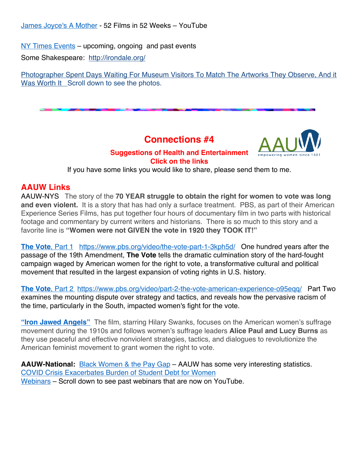NY Times Events – upcoming, ongoing and past events

Some Shakespeare: http://irondale.org/

Photographer Spent Days Waiting For Museum Visitors To Match The Artworks They Observe, And it Was Worth It Scroll down to see the photos.

**Connections #4**



# **Suggestions of Health and Entertainment Click on the links**

If you have some links you would like to share, please send them to me.

# **AAUW Links**

AAUW-NYS The story of the **70 YEAR struggle to obtain the right for women to vote was long and even violent.** It is a story that has had only a surface treatment. PBS, as part of their American Experience Series Films, has put together four hours of documentary film in two parts with historical footage and commentary by current writers and historians. There is so much to this story and a favorite line is **"Women were not GIVEN the vote in 1920 they TOOK IT!"** 

**The Vote**, Part 1https://www.pbs.org/video/the-vote-part-1-3kph5d/ One hundred years after the passage of the 19th Amendment, **The Vote** tells the dramatic culmination story of the hard-fought campaign waged by American women for the right to vote, a transformative cultural and political movement that resulted in the largest expansion of voting rights in U.S. history.

**The Vote**, Part 2 https://www.pbs.org/video/part-2-the-vote-american-experience-o95eqq/ Part Two examines the mounting dispute over strategy and tactics, and reveals how the pervasive racism of the time, particularly in the South, impacted women's fight for the vote.

**"Iron Jawed Angels"** The film, starring Hilary Swanks, focuses on the American women's suffrage movement during the 1910s and follows women's suffrage leaders **Alice Paul and Lucy Burns** as they use peaceful and effective nonviolent strategies, tactics, and dialogues to revolutionize the American feminist movement to grant women the right to vote.

**AAUW-National:** Black Women & the Pay Gap – AAUW has some very interesting statistics. COVID Crisis Exacerbates Burden of Student Debt for Women Webinars – Scroll down to see past webinars that are now on YouTube.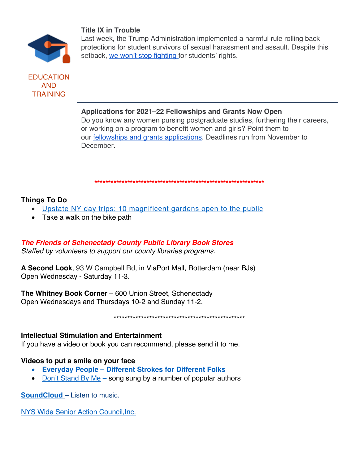### **Title IX in Trouble**



EDUCATION AND **TRAINING** 

Last week, the Trump Administration implemented a harmful rule rolling back protections for student survivors of sexual harassment and assault. Despite this setback, we won't stop fighting for students' rights.

### **Applications for 2021–22 Fellowships and Grants Now Open**

Do you know any women pursing postgraduate studies, furthering their careers, or working on a program to benefit women and girls? Point them to our fellowships and grants applications. Deadlines run from November to December.

#### **\*\*\*\*\*\*\*\*\*\*\*\*\*\*\*\*\*\*\*\*\*\*\*\*\*\*\*\*\*\*\*\*\*\*\*\*\*\*\*\*\*\*\*\*\*\*\*\*\*\*\*\*\*\*\*\*\*\*\*\*\*\***

### **Things To Do**

- Upstate NY day trips: 10 magnificent gardens open to the public
- Take a walk on the bike path

## *The Friends of Schenectady County Public Library Book Stores*

*Staffed by volunteers to support our county libraries programs.*

**A Second Look**, 93 W Campbell Rd, in ViaPort Mall, Rotterdam (near BJs) Open Wednesday - Saturday 11-3.

**The Whitney Book Corner** – 600 Union Street, Schenectady Open Wednesdays and Thursdays 10-2 and Sunday 11-2.

\*\*\*\*\*\*\*\*\*\*\*\*\*\*\*\*\*\*\*\*\*\*\*\*\*\*\*\*\*\*\*\*\*\*\*\*\*\*\*\*\*\*\*\*\*\*\*\*

### **Intellectual Stimulation and Entertainment**

If you have a video or book you can recommend, please send it to me.

### **Videos to put a smile on your face**

- **Everyday People – Different Strokes for Different Folks**
- Don't Stand By Me song sung by a number of popular authors

**SoundCloud** – Listen to music.

NYS Wide Senior Action Council,Inc.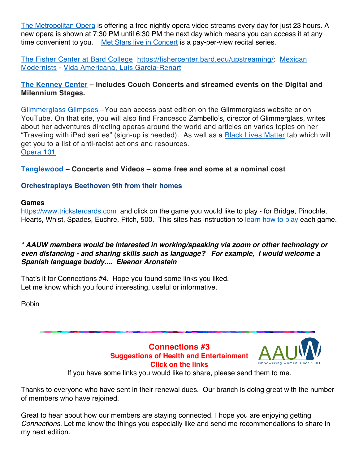The Metropolitan Opera is offering a free nightly opera video streams every day for just 23 hours. A new opera is shown at 7:30 PM until 6:30 PM the next day which means you can access it at any time convenient to you. Met Stars live in Concert is a pay-per-view recital series.

The Fisher Center at Bard College https://fishercenter.bard.edu/upstreaming/: Mexican Modernists - Vida Americana, Luis Garcia-Renart

# **The Kenney Center – includes Couch Concerts and streamed events on the Digital and Milennium Stages.**

Glimmerglass Glimpses –You can access past edition on the Glimmerglass website or on YouTube. On that site, you will also find Francesco Zambello's, director of Glimmerglass, writes about her adventures directing operas around the world and articles on varies topics on her "Traveling with iPad seri es" (sign-up is needed). As well as a **Black Lives Matter** tab which will get you to a list of anti-racist actions and resources. Opera 101

**Tanglewood – Concerts and Videos – some free and some at a nominal cost**

## **Orchestraplays Beethoven 9th from their homes**

#### **Games**

https://www.trickstercards.com and click on the game you would like to play - for Bridge, Pinochle, Hearts, Whist, Spades, Euchre, Pitch, 500. This sites has instruction to learn how to play each game.

### *\* AAUW members would be interested in working/speaking via zoom or other technology or even distancing - and sharing skills such as language? For example, I would welcome a Spanish language buddy.... Eleanor Aronstein*

That's it for Connections #4. Hope you found some links you liked. Let me know which you found interesting, useful or informative.

Robin



Thanks to everyone who have sent in their renewal dues. Our branch is doing great with the number of members who have rejoined.

Great to hear about how our members are staying connected. I hope you are enjoying getting *Connections*. Let me know the things you especially like and send me recommendations to share in my next edition.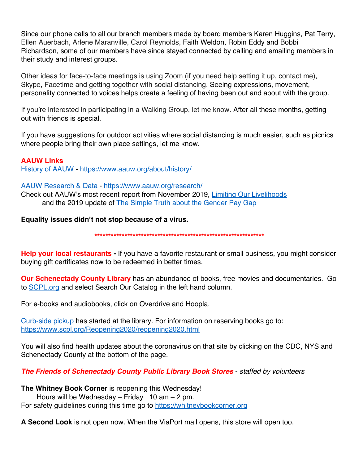Since our phone calls to all our branch members made by board members Karen Huggins, Pat Terry, Ellen Auerbach, Arlene Maranville, Carol Reynolds, Faith Weldon, Robin Eddy and Bobbi Richardson, some of our members have since stayed connected by calling and emailing members in their study and interest groups.

Other ideas for face-to-face meetings is using Zoom (if you need help setting it up, contact me), Skype, Facetime and getting together with social distancing. Seeing expressions, movement, personality connected to voices helps create a feeling of having been out and about with the group.

If you're interested in participating in a Walking Group, let me know. After all these months, getting out with friends is special.

If you have suggestions for outdoor activities where social distancing is much easier, such as picnics where people bring their own place settings, let me know.

**AAUW Links** History of AAUW - https://www.aauw.org/about/history/

#### AAUW Research & Data - https://www.aauw.org/research/

Check out AAUW's most recent report from November 2019, Limiting Our Livelihoods and the 2019 update of The Simple Truth about the Gender Pay Gap

**Equality issues didn't not stop because of a virus.**

**\*\*\*\*\*\*\*\*\*\*\*\*\*\*\*\*\*\*\*\*\*\*\*\*\*\*\*\*\*\*\*\*\*\*\*\*\*\*\*\*\*\*\*\*\*\*\*\*\*\*\*\*\*\*\*\*\*\*\*\*\*\***

**Help your local restaurants -** If you have a favorite restaurant or small business, you might consider buying gift certificates now to be redeemed in better times.

**Our Schenectady County Library** has an abundance of books, free movies and documentaries. Go to SCPL.org and select Search Our Catalog in the left hand column.

For e-books and audiobooks, click on Overdrive and Hoopla.

Curb-side pickup has started at the library. For information on reserving books go to: https://www.scpl.org/Reopening2020/reopening2020.html

You will also find health updates about the coronavirus on that site by clicking on the CDC, NYS and Schenectady County at the bottom of the page.

*The Friends of Schenectady County Public Library Book Stores* - *staffed by volunteers*

**The Whitney Book Corner** is reopening this Wednesday!

Hours will be Wednesday – Friday  $10$  am – 2 pm. For safety guidelines during this time go to https://whitneybookcorner.org

**A Second Look** is not open now. When the ViaPort mall opens, this store will open too.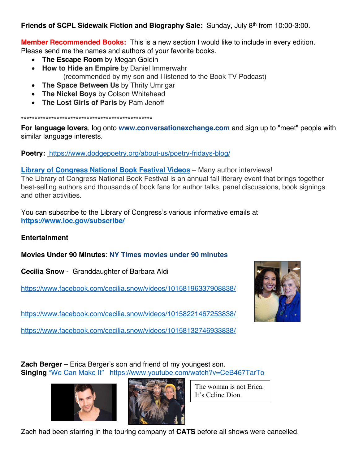**Friends of SCPL Sidewalk Fiction and Biography Sale:** Sunday, July 8th from 10:00-3:00.

**Member Recommended Books:** This is a new section I would like to include in every edition. Please send me the names and authors of your favorite books.

- **The Escape Room** by Megan Goldin
- **How to Hide an Empire** by Daniel Immerwahr (recommended by my son and I listened to the Book TV Podcast)
- **The Space Between Us** by Thrity Umrigar
- **The Nickel Boys** by Colson Whitehead
- **The Lost Girls of Paris** by Pam Jenoff

\*\*\*\*\*\*\*\*\*\*\*\*\*\*\*\*\*\*\*\*\*\*\*\*\*\*\*\*\*\*\*\*\*\*\*\*\*\*\*\*\*\*\*\*\*\*\*\*

**For language lovers**, log onto **www.conversationexchange.com** and sign up to "meet" people with similar language interests.

**Poetry:** https://www.dodgepoetry.org/about-us/poetry-fridays-blog/

**Library of Congress National Book Festival Videos** – Many author interviews! The Library of Congress National Book Festival is an annual fall literary event that brings together best-selling authors and thousands of book fans for author talks, panel discussions, book signings and other activities.

You can subscribe to the Library of Congress's various informative emails at **https://www.loc.gov/subscribe/**

# **Entertainment**

**Movies Under 90 Minutes**: **NY Times movies under 90 minutes**

**Cecilia Snow** - Granddaughter of Barbara Aldi

https://www.facebook.com/cecilia.snow/videos/10158196337908838/

https://www.facebook.com/cecilia.snow/videos/10158221467253838/

https://www.facebook.com/cecilia.snow/videos/10158132746933838/



**Zach Berger** – Erica Berger's son and friend of my youngest son. **Singing** "We Can Make It"https://www.youtube.com/watch?v=CeB467TarTo





The woman is not Erica. It's Celine Dion.

Zach had been starring in the touring company of **CATS** before all shows were cancelled.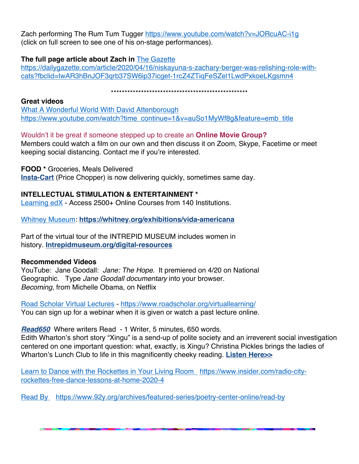Zach performing The Rum Tum Tugger https://www.youtube.com/watch?v=JORcuAC-i1g (click on full screen to see one of his on-stage performances).

### **The full page article about Zach in** The Gazette

https://dailygazette.com/article/2020/04/16/niskayuna-s-zachary-berger-was-relishing-role-withcats?fbclid=IwAR3hBnJOF3qrb37SW6ip37icget-1rcZ4ZTiqFeSZel1LwdPxkoeLKgsmn4

# \*\*\*\*\*\*\*\*\*\*\*\*\*\*\*\*\*\*\*\*\*\*\*\*\*\*\*\*\*\*\*\*\*\*\*\*\*\*\*\*\*\*\*\*\*\*\*\*\*\*

### **Great videos**

What A Wonderful World With David Attenborough https://www.youtube.com/watch?time\_continue=1&v=auSo1MyWf8g&feature=emb\_title

### Wouldn't it be great if someone stepped up to create an **Online Movie Group?**

Members could watch a film on our own and then discuss it on Zoom, Skype, Facetime or meet keeping social distancing. Contact me if you're interested.

### **FOOD \*** Groceries, Meals Delivered

**Insta-Cart** (Price Chopper) is now delivering quickly, sometimes same day.

## **INTELLECTUAL STIMULATION & ENTERTAINMENT \***

Learning edX - Access 2500+ Online Courses from 140 Institutions.

Whitney Museum: **https://whitney.org/exhibitions/vida-americana**

Part of the virtual tour of the INTREPID MUSEUM includes women in history. **Intrepidmuseum.org/digital-resources**

## **Recommended Videos**

YouTube: Jane Goodall: *Jane: The Hope*. It premiered on 4/20 on National Geographic. Type *Jane Goodall documentary* into your browser. *Becoming*, from Michelle Obama, on Netflix

Road Scholar Virtual Lectures - https://www.roadscholar.org/virtuallearning/ You can sign up for a webinar when it is given or watch a past lecture online.

*Read650* Where writers Read - 1 Writer, 5 minutes, 650 words.

Edith Wharton's short story "Xingu" is a send-up of polite society and an irreverent social investigation centered on one important question: what, exactly, is Xingu? Christina Pickles brings the ladies of Wharton's Lunch Club to life in this magnificently cheeky reading. **Listen Here>>** 

Learn to Dance with the Rockettes in Your Living Room https://www.insider.com/radio-cityrockettes-free-dance-lessons-at-home-2020-4

Read By https://www.92y.org/archives/featured-series/poetry-center-online/read-by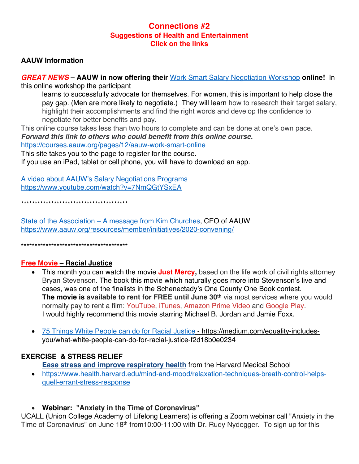# **Connections #2 Suggestions of Health and Entertainment Click on the links**

### **AAUW Information**

*GREAT NEWS* **– AAUW in now offering their** Work Smart Salary Negotiation Workshop **online!** In this online workshop the participant

learns to successfully advocate for themselves. For women, this is important to help close the pay gap. (Men are more likely to negotiate.) They will learn how to research their target salary, highlight their accomplishments and find the right words and develop the confidence to negotiate for better benefits and pay.

This online course takes less than two hours to complete and can be done at one's own pace. *Forward this link to others who could benefit from this online course.* 

https://courses.aauw.org/pages/12/aauw-work-smart-online

This site takes you to the page to register for the course.

If you use an iPad, tablet or cell phone, you will have to download an app.

A video about AAUW's Salary Negotiations Programs https://www.youtube.com/watch?v=7NmQGtYSxEA

\*\*\*\*\*\*\*\*\*\*\*\*\*\*\*\*\*\*\*\*\*\*\*\*\*\*\*\*\*\*\*\*\*\*\*\*\*\*\*

State of the Association – A message from Kim Churches, CEO of AAUW https://www.aauw.org/resources/member/initiatives/2020-convening/

\*\*\*\*\*\*\*\*\*\*\*\*\*\*\*\*\*\*\*\*\*\*\*\*\*\*\*\*\*\*\*\*\*\*\*\*\*\*\*

### **Free Movie – Racial Justice**

- This month you can watch the movie **Just Mercy**, based on the life work of civil rights attorney Bryan Stevenson. The book this movie which naturally goes more into Stevenson's live and cases, was one of the finalists in the Schenectady's One County One Book contest. **The movie is available to rent for FREE until June 30<sup>th</sup> via most services where you would** normally pay to rent a film: YouTube, iTunes, Amazon Prime Video and Google Play. I would highly recommend this movie starring Michael B. Jordan and Jamie Foxx.
- 75 Things White People can do for Racial Justice https://medium.com/equality-includesyou/what-white-people-can-do-for-racial-justice-f2d18b0e0234

## **EXERCISE & STRESS RELIEF**

**Ease stress and improve respiratory health** from the Harvard Medical School

• https://www.health.harvard.edu/mind-and-mood/relaxation-techniques-breath-control-helpsquell-errant-stress-response

## • **Webinar: "Anxiety in the Time of Coronavirus"**

UCALL (Union College Academy of Lifelong Learners) is offering a Zoom webinar call "Anxiety in the Time of Coronavirus" on June 18<sup>th</sup> from10:00-11:00 with Dr. Rudy Nydegger. To sign up for this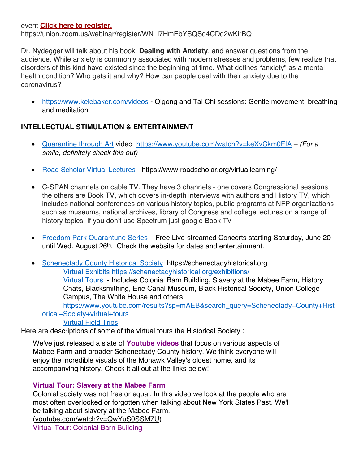### event **Click here to register.**

https://union.zoom.us/webinar/register/WN\_l7HmEbYSQSq4CDd2wKirBQ

Dr. Nydegger will talk about his book, **Dealing with Anxiety**, and answer questions from the audience. While anxiety is commonly associated with modern stresses and problems, few realize that disorders of this kind have existed since the beginning of time. What defines "anxiety" as a mental health condition? Who gets it and why? How can people deal with their anxiety due to the coronavirus?

• https://www.kelebaker.com/videos - Qigong and Tai Chi sessions: Gentle movement, breathing and meditation

## **INTELLECTUAL STIMULATION & ENTERTAINMENT**

- Quarantine through Art video https://www.youtube.com/watch?v=keXvCkm0FIA *(For a smile, definitely check this out)*
- Road Scholar Virtual Lectures https://www.roadscholar.org/virtuallearning/
- C-SPAN channels on cable TV. They have 3 channels one covers Congressional sessions the others are Book TV, which covers in-depth interviews with authors and History TV, which includes national conferences on various history topics, public programs at NFP organizations such as museums, national archives, library of Congress and college lectures on a range of history topics. If you don't use Spectrum just google Book TV
- Freedom Park Quarantune Series Free Live-streamed Concerts starting Saturday, June 20 until Wed. August 26<sup>th</sup>. Check the website for dates and entertainment.
- Schenectady County Historical Society https://schenectadyhistorical.org Virtual Exhibits https://schenectadyhistorical.org/exhibitions/ Virtual Tours - Includes Colonial Barn Building, Slavery at the Mabee Farm, History Chats, Blacksmithing, Erie Canal Museum, Black Historical Society, Union College Campus, The White House and others https://www.youtube.com/results?sp=mAEB&search\_query=Schenectady+County+Hist orical+Society+virtual+tours Virtual Field Trips

Here are descriptions of some of the virtual tours the Historical Society :

We've just released a slate of **Youtube videos** that focus on various aspects of Mabee Farm and broader Schenectady County history. We think everyone will enjoy the incredible visuals of the Mohawk Valley's oldest home, and its accompanying history. Check it all out at the links below!

## **Virtual Tour: Slavery at the Mabee Farm**

Colonial society was not free or equal. In this video we look at the people who are most often overlooked or forgotten when talking about New York States Past. We'll be talking about slavery at the Mabee Farm.

(youtube.com/watch?v=QwYuS0SSM7U) Virtual Tour: Colonial Barn Building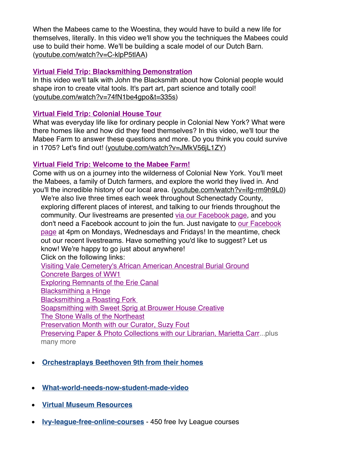When the Mabees came to the Woestina, they would have to build a new life for themselves, literally. In this video we'll show you the techniques the Mabees could use to build their home. We'll be building a scale model of our Dutch Barn. (youtube.com/watch?v=C-klpP5tlAA)

## **Virtual Field Trip: Blacksmithing Demonstration**

In this video we'll talk with John the Blacksmith about how Colonial people would shape iron to create vital tools. It's part art, part science and totally cool! (youtube.com/watch?v=74fN1be4gpo&t=335s)

### **Virtual Field Trip: Colonial House Tour**

What was everyday life like for ordinary people in Colonial New York? What were there homes like and how did they feed themselves? In this video, we'll tour the Mabee Farm to answer these questions and more. Do you think you could survive in 1705? Let's find out! (youtube.com/watch?v=JMkV56jL1ZY)

### **Virtual Field Trip: Welcome to the Mabee Farm!**

Come with us on a journey into the wilderness of Colonial New York. You'll meet the Mabees, a family of Dutch farmers, and explore the world they lived in. And you'll the incredible history of our local area. (youtube.com/watch?v=ifg-rm9h9L0)

We're also live three times each week throughout Schenectady County, exploring different places of interest, and talking to our friends throughout the community. Our livestreams are presented via our Facebook page, and you don't need a Facebook account to join the fun. Just navigate to our Facebook page at 4pm on Mondays, Wednesdays and Fridays! In the meantime, check out our recent livestreams. Have something you'd like to suggest? Let us know! We're happy to go just about anywhere! Click on the following links: Visiting Vale Cemetery's African American Ancestral Burial Ground Concrete Barges of WW1 Exploring Remnants of the Erie Canal Blacksmithing a Hinge Blacksmithing a Roasting Fork Soapsmithing with Sweet Sprig at Brouwer House Creative The Stone Walls of the Northeast Preservation Month with our Curator, Suzy Fout Preserving Paper & Photo Collections with our Librarian, Marietta Carr...plus many more

- **Orchestraplays Beethoven 9th from their homes**
- **What-world-needs-now-student-made-video**
- **Virtual Museum Resources**
- **Ivy-league-free-online-courses** 450 free Ivy League courses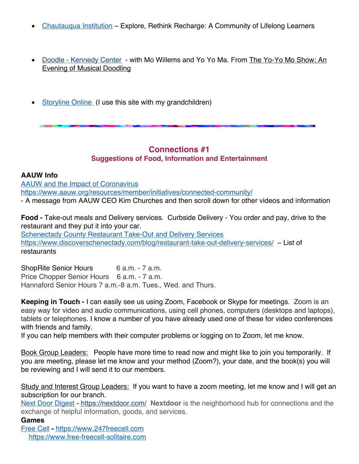- Chautauqua Institution Explore, Rethink Recharge: A Community of Lifelong Learners
- Doodle Kennedy Center with Mo Willems and Yo Yo Ma. From The Yo-Yo Mo Show: An Evening of Musical Doodling
- Storyline Online (I use this site with my grandchildren)

# **Connections #1 Suggestions of Food, Information and Entertainment**

#### **AAUW Info**

AAUW and the Impact of Coronavirus https://www.aauw.org/resources/member/initiatives/connected-community/ - A message from AAUW CEO Kim Churches and then scroll down for other videos and information

**Food -** Take-out meals and Delivery services. Curbside Delivery - You order and pay, drive to the restaurant and they put it into your car. Schenectady County Restaurant Take-Out and Delivery Services https://www.discoverschenectady.com/blog/restaurant-take-out-delivery-services/ – List of restaurants

ShopRite Senior Hours 6 a.m. - 7 a.m. Price Chopper Senior Hours 6 a.m. - 7 a.m. Hannaford Senior Hours 7 a.m.-8 a.m. Tues., Wed. and Thurs.

**Keeping in Touch -** I can easily see us using Zoom, Facebook or Skype for meetings. Zoom is an easy way for video and audio communications, using cell phones, computers (desktops and laptops), tablets or telephones. I know a number of you have already used one of these for video conferences with friends and family.

If you can help members with their computer problems or logging on to Zoom, let me know.

Book Group Leaders: People have more time to read now and might like to join you temporarily. If you are meeting, please let me know and your method (Zoom?), your date, and the book(s) you will be reviewing and I will send it to our members.

Study and Interest Group Leaders: If you want to have a zoom meeting, let me know and I will get an subscription for our branch.

Next Door Digest - https://nextdoor.com/ **Nextdoor** is the neighborhood hub for connections and the exchange of helpful information, goods, and services.

### **Games**

Free Cell **-** https://www.247freecell.com https://www.free-freecell-solitaire.com